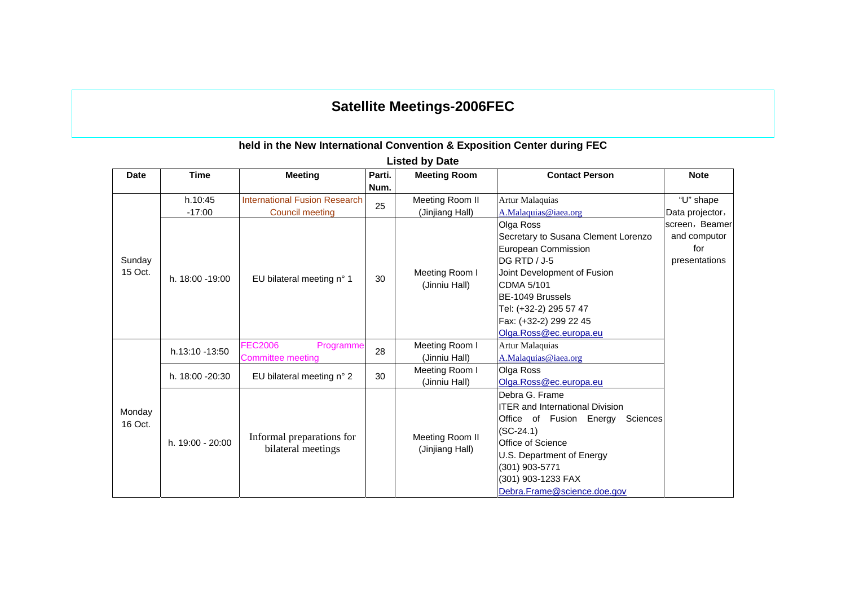# **Satellite Meetings-2006FEC**

### **held in the New International Convention & Exposition Center during FEC**

| <b>Date</b> | <b>Time</b>      | <b>Meeting</b>                                  | Parti. | <b>Meeting Room</b> | <b>Contact Person</b>                  | <b>Note</b>     |
|-------------|------------------|-------------------------------------------------|--------|---------------------|----------------------------------------|-----------------|
|             |                  |                                                 | Num.   |                     |                                        |                 |
|             | h.10:45          | <b>International Fusion Research</b>            | 25     | Meeting Room II     | <b>Artur Malaquias</b>                 | "U" shape       |
|             | $-17:00$         | <b>Council meeting</b>                          |        | (Jinjiang Hall)     | A.Malaquias@iaea.org                   | Data projector, |
|             |                  |                                                 |        |                     | Olga Ross                              | screen, Beamer  |
|             |                  |                                                 |        |                     | Secretary to Susana Clement Lorenzo    | and computor    |
| Sunday      |                  |                                                 |        |                     | European Commission                    | for             |
|             |                  |                                                 |        |                     | DG RTD / J-5                           | presentations   |
| 15 Oct.     | h. 18:00 - 19:00 | EU bilateral meeting n° 1                       | 30     | Meeting Room I      | Joint Development of Fusion            |                 |
|             |                  |                                                 |        | (Jinniu Hall)       | CDMA 5/101                             |                 |
|             |                  |                                                 |        |                     | BE-1049 Brussels                       |                 |
|             |                  |                                                 |        |                     | Tel: (+32-2) 295 57 47                 |                 |
|             |                  |                                                 |        |                     | Fax: (+32-2) 299 22 45                 |                 |
|             |                  |                                                 |        |                     | Olga.Ross@ec.europa.eu                 |                 |
|             | h.13:10 -13:50   | <b>FEC2006</b><br>Programme                     | 28     | Meeting Room I      | Artur Malaquias                        |                 |
|             |                  | Committee meeting                               |        | (Jinniu Hall)       | A.Malaquias@iaea.org                   |                 |
|             | h. 18:00 -20:30  | EU bilateral meeting n° 2                       | 30     | Meeting Room I      | Olga Ross                              |                 |
|             |                  |                                                 |        | (Jinniu Hall)       | Olga.Ross@ec.europa.eu                 |                 |
|             |                  |                                                 |        |                     | Debra G. Frame                         |                 |
| Monday      |                  |                                                 |        |                     | <b>ITER and International Division</b> |                 |
| 16 Oct.     |                  |                                                 |        |                     | Office of Fusion Energy<br>Sciences    |                 |
|             |                  |                                                 |        |                     | $(SC-24.1)$                            |                 |
|             | h. 19:00 - 20:00 | Informal preparations for<br>bilateral meetings |        | Meeting Room II     | <b>Office of Science</b>               |                 |
|             |                  |                                                 |        | (Jinjiang Hall)     | U.S. Department of Energy              |                 |
|             |                  |                                                 |        |                     | (301) 903-5771                         |                 |
|             |                  |                                                 |        |                     | (301) 903-1233 FAX                     |                 |
|             |                  |                                                 |        |                     | Debra.Frame@science.doe.gov            |                 |

**Listed by Date**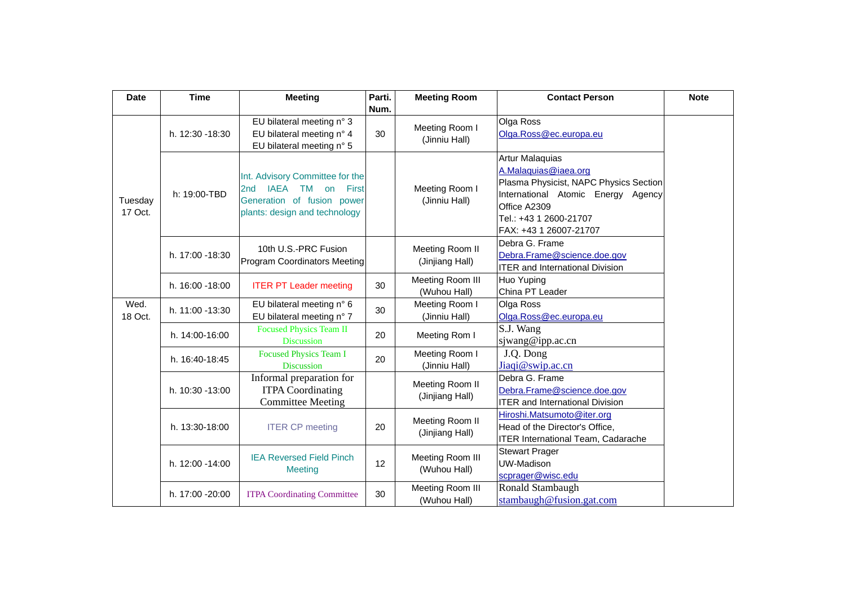| <b>Date</b>        | <b>Time</b>     | <b>Meeting</b>                                                                                                                                     | Parti. | <b>Meeting Room</b>                | <b>Contact Person</b>                                                                                                                                                                       | <b>Note</b> |
|--------------------|-----------------|----------------------------------------------------------------------------------------------------------------------------------------------------|--------|------------------------------------|---------------------------------------------------------------------------------------------------------------------------------------------------------------------------------------------|-------------|
|                    |                 |                                                                                                                                                    | Num.   |                                    |                                                                                                                                                                                             |             |
| Tuesday<br>17 Oct. | h. 12:30 -18:30 | EU bilateral meeting n° 3<br>EU bilateral meeting n° 4<br>EU bilateral meeting n° 5                                                                | 30     | Meeting Room I<br>(Jinniu Hall)    | Olga Ross<br>Olga.Ross@ec.europa.eu                                                                                                                                                         |             |
|                    | h: 19:00-TBD    | Int. Advisory Committee for the<br><b>IAEA</b><br>2 <sub>nd</sub><br>TM on<br>First<br>Generation of fusion power<br>plants: design and technology |        | Meeting Room I<br>(Jinniu Hall)    | Artur Malaquias<br>A.Malaquias@iaea.org<br>Plasma Physicist, NAPC Physics Section<br>International Atomic Energy Agency<br>Office A2309<br>Tel.: +43 1 2600-21707<br>FAX: +43 1 26007-21707 |             |
|                    | h. 17:00 -18:30 | 10th U.S.-PRC Fusion<br>Program Coordinators Meeting                                                                                               |        | Meeting Room II<br>(Jinjiang Hall) | Debra G. Frame<br>Debra.Frame@science.doe.gov<br><b>ITER and International Division</b>                                                                                                     |             |
|                    | h. 16:00 -18:00 | <b>ITER PT Leader meeting</b>                                                                                                                      | 30     | Meeting Room III<br>(Wuhou Hall)   | Huo Yuping<br>China PT Leader                                                                                                                                                               |             |
| Wed.<br>18 Oct.    | h. 11:00 -13:30 | EU bilateral meeting n° 6<br>EU bilateral meeting n° 7                                                                                             | 30     | Meeting Room I<br>(Jinniu Hall)    | Olga Ross<br>Olga.Ross@ec.europa.eu                                                                                                                                                         |             |
|                    | h. 14:00-16:00  | <b>Focused Physics Team II</b><br><b>Discussion</b>                                                                                                | 20     | Meeting Rom I                      | S.J. Wang<br>sjwang@ipp.ac.cn                                                                                                                                                               |             |
|                    | h. 16:40-18:45  | Focused Physics Team I<br><b>Discussion</b>                                                                                                        | 20     | Meeting Room I<br>(Jinniu Hall)    | J.Q. Dong<br>Jiaqi@swip.ac.cn                                                                                                                                                               |             |
|                    | h. 10:30 -13:00 | Informal preparation for<br><b>ITPA Coordinating</b><br><b>Committee Meeting</b>                                                                   |        | Meeting Room II<br>(Jinjiang Hall) | Debra G. Frame<br>Debra.Frame@science.doe.gov<br><b>ITER and International Division</b>                                                                                                     |             |
|                    | h. 13:30-18:00  | <b>ITER CP meeting</b>                                                                                                                             | 20     | Meeting Room II<br>(Jinjiang Hall) | Hiroshi.Matsumoto@iter.org<br>Head of the Director's Office,<br><b>ITER International Team, Cadarache</b>                                                                                   |             |
|                    | h. 12:00 -14:00 | <b>IEA Reversed Field Pinch</b><br><b>Meeting</b>                                                                                                  | 12     | Meeting Room III<br>(Wuhou Hall)   | <b>Stewart Prager</b><br>UW-Madison<br>scprager@wisc.edu                                                                                                                                    |             |
|                    | h. 17:00 -20:00 | <b>ITPA Coordinating Committee</b>                                                                                                                 | 30     | Meeting Room III<br>(Wuhou Hall)   | Ronald Stambaugh<br>stambaugh@fusion.gat.com                                                                                                                                                |             |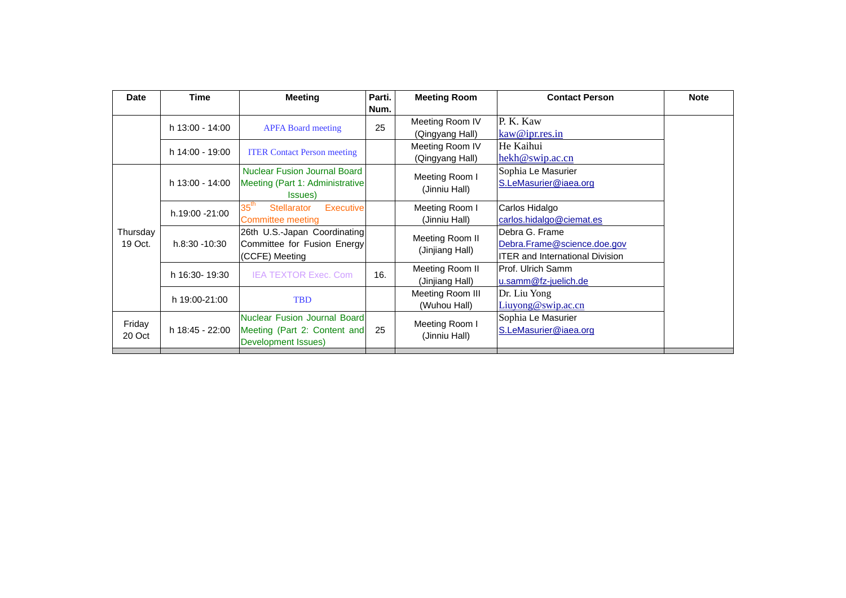| Date     | <b>Time</b>     | <b>Meeting</b>                                          | Parti. | <b>Meeting Room</b>                | <b>Contact Person</b>                  | <b>Note</b> |
|----------|-----------------|---------------------------------------------------------|--------|------------------------------------|----------------------------------------|-------------|
|          |                 |                                                         | Num.   |                                    |                                        |             |
|          | h 13:00 - 14:00 | <b>APFA Board meeting</b>                               | 25     | Meeting Room IV                    | P. K. Kaw                              |             |
|          |                 |                                                         |        | (Qingyang Hall)                    | kaw@ipr.res.in                         |             |
|          | h 14:00 - 19:00 | <b>ITER Contact Person meeting</b>                      |        | Meeting Room IV                    | He Kaihui                              |             |
|          |                 |                                                         |        | (Qingyang Hall)                    | hekh@swip.ac.cn                        |             |
|          |                 | <b>Nuclear Fusion Journal Board</b>                     |        | Meeting Room I                     | Sophia Le Masurier                     |             |
|          | h 13:00 - 14:00 | Meeting (Part 1: Administrative                         |        | (Jinniu Hall)                      | S.LeMasurier@iaea.org                  |             |
|          |                 | Issues)                                                 |        |                                    |                                        |             |
|          | h.19:00 -21:00  | $35^{\sf th}$<br><b>Stellarator</b><br><b>Executive</b> |        | Meeting Room I<br>(Jinniu Hall)    | Carlos Hidalgo                         |             |
|          |                 | Committee meeting                                       |        |                                    | carlos.hidalgo@ciemat.es               |             |
| Thursday | h.8:30 -10:30   | 26th U.S.-Japan Coordinating                            |        | Meeting Room II<br>(Jinjiang Hall) | Debra G. Frame                         |             |
| 19 Oct.  |                 | Committee for Fusion Energy<br>(CCFE) Meeting           |        |                                    | Debra.Frame@science.doe.gov            |             |
|          |                 |                                                         |        |                                    | <b>ITER and International Division</b> |             |
|          | h 16:30-19:30   | <b>IEA TEXTOR Exec. Com</b>                             | 16.    | Meeting Room II                    | Prof. Ulrich Samm                      |             |
|          |                 |                                                         |        | (Jinjiang Hall)                    | u.samm@fz-juelich.de                   |             |
|          | h 19:00-21:00   | <b>TBD</b>                                              |        | Meeting Room III                   | Dr. Liu Yong                           |             |
|          |                 |                                                         |        | (Wuhou Hall)                       | Liuyong@swip.ac.cn                     |             |
| Friday   |                 | <b>Nuclear Fusion Journal Board</b>                     |        | Meeting Room I                     | Sophia Le Masurier                     |             |
| 20 Oct   | h 18:45 - 22:00 | Meeting (Part 2: Content and                            | 25     | (Jinniu Hall)                      | S.LeMasurier@iaea.org                  |             |
|          |                 | Development Issues)                                     |        |                                    |                                        |             |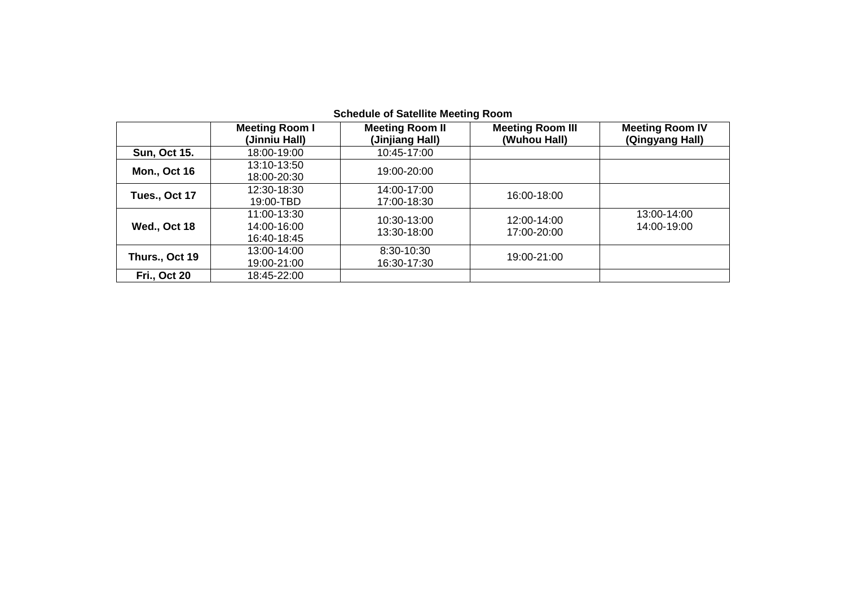|                     | <b>Meeting Room I</b><br>(Jinniu Hall)    | <b>Meeting Room II</b><br>(Jinjiang Hall) | <b>Meeting Room III</b><br>(Wuhou Hall) | <b>Meeting Room IV</b><br>(Qingyang Hall) |
|---------------------|-------------------------------------------|-------------------------------------------|-----------------------------------------|-------------------------------------------|
| <b>Sun, Oct 15.</b> | 18:00-19:00                               | 10:45-17:00                               |                                         |                                           |
| <b>Mon., Oct 16</b> | 13:10-13:50<br>18:00-20:30                | 19:00-20:00                               |                                         |                                           |
| Tues., Oct 17       | 12:30-18:30<br>19:00-TBD                  | 14:00-17:00<br>17:00-18:30                | 16:00-18:00                             |                                           |
| Wed., Oct 18        | 11:00-13:30<br>14:00-16:00<br>16:40-18:45 | 10:30-13:00<br>13:30-18:00                | 12:00-14:00<br>17:00-20:00              | 13:00-14:00<br>14:00-19:00                |
| Thurs., Oct 19      | 13:00-14:00<br>19:00-21:00                | 8:30-10:30<br>16:30-17:30                 | 19:00-21:00                             |                                           |
| <b>Fri., Oct 20</b> | 18:45-22:00                               |                                           |                                         |                                           |

### **Schedule of Satellite Meeting Room**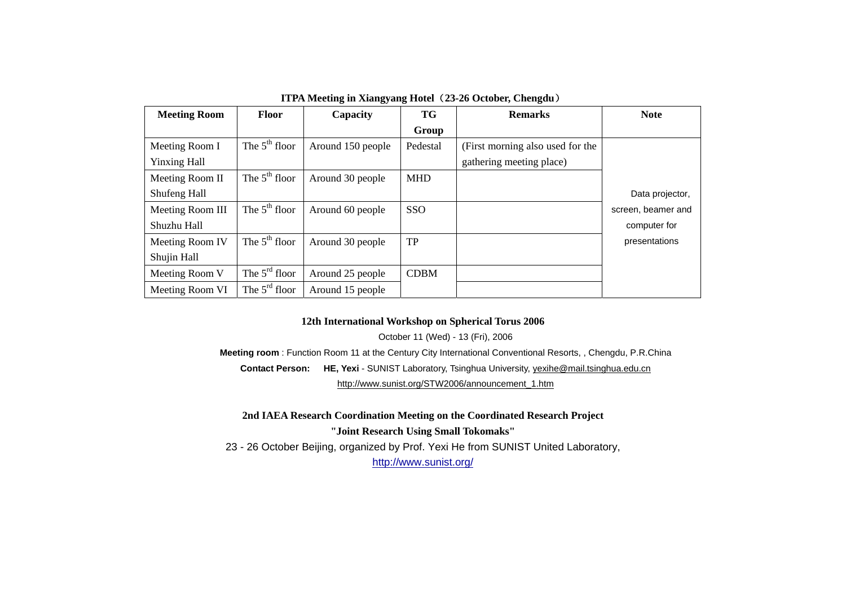| <b>Meeting Room</b> | <b>Floor</b>    | Capacity          | TG          | <b>Remarks</b>                   | <b>Note</b>        |
|---------------------|-----------------|-------------------|-------------|----------------------------------|--------------------|
|                     |                 |                   | Group       |                                  |                    |
| Meeting Room I      | The $5th$ floor | Around 150 people | Pedestal    | (First morning also used for the |                    |
| <b>Yinxing Hall</b> |                 |                   |             | gathering meeting place)         |                    |
| Meeting Room II     | The $5th$ floor | Around 30 people  | <b>MHD</b>  |                                  |                    |
| Shufeng Hall        |                 |                   |             |                                  | Data projector,    |
| Meeting Room III    | The $5th$ floor | Around 60 people  | SSO         |                                  | screen, beamer and |
| Shuzhu Hall         |                 |                   |             |                                  | computer for       |
| Meeting Room IV     | The $5th$ floor | Around 30 people  | TP          |                                  | presentations      |
| Shujin Hall         |                 |                   |             |                                  |                    |
| Meeting Room V      | The $5rd$ floor | Around 25 people  | <b>CDBM</b> |                                  |                    |
| Meeting Room VI     | The $5rd$ floor | Around 15 people  |             |                                  |                    |

**ITPA Meeting in Xiangyang Hotel**(**23-26 October, Chengdu**)

#### **12th International Workshop on Spherical Torus 2006**

October 11 (Wed) - 13 (Fri), 2006

**Meeting room** : Function Room 11 at the Century City International Conventional Resorts, , Chengdu, P.R.China **Contact Person: HE, Yexi** - SUNIST Laboratory, Tsinghua University, yexihe@mail.tsinghua.edu.cn http://www.sunist.org/STW2006/announcement\_1.htm

**2nd IAEA Research Coordination Meeting on the Coordinated Research Project "Joint Research Using Small Tokomaks"** 23 - 26 October Beijing, organized by Prof. Yexi He from SUNIST United Laboratory, http://www.sunist.org/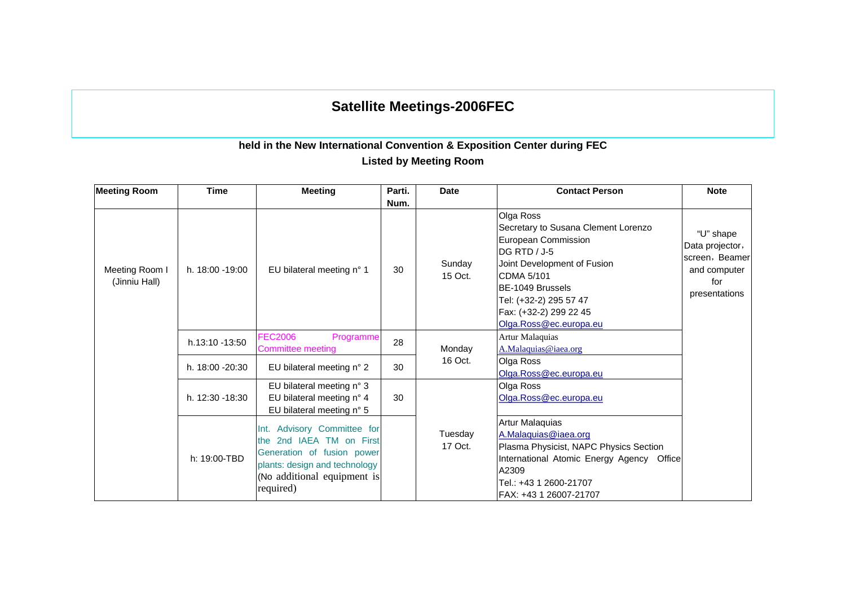# **Satellite Meetings-2006FEC**

## **held in the New International Convention & Exposition Center during FEC Listed by Meeting Room**

| <b>Meeting Room</b>             | <b>Time</b>      | <b>Meeting</b>                                                                                                                                                           | Parti. | <b>Date</b>        | <b>Contact Person</b>                                                                                                                                                                                                                         | <b>Note</b>                                                                            |
|---------------------------------|------------------|--------------------------------------------------------------------------------------------------------------------------------------------------------------------------|--------|--------------------|-----------------------------------------------------------------------------------------------------------------------------------------------------------------------------------------------------------------------------------------------|----------------------------------------------------------------------------------------|
|                                 |                  |                                                                                                                                                                          | Num.   |                    |                                                                                                                                                                                                                                               |                                                                                        |
| Meeting Room I<br>(Jinniu Hall) | h. 18:00 -19:00  | EU bilateral meeting n° 1                                                                                                                                                | 30     | Sunday<br>15 Oct.  | Olga Ross<br>Secretary to Susana Clement Lorenzo<br>European Commission<br><b>DG RTD / J-5</b><br>Joint Development of Fusion<br>CDMA 5/101<br>BE-1049 Brussels<br>Tel: (+32-2) 295 57 47<br>Fax: (+32-2) 299 22 45<br>Olga.Ross@ec.europa.eu | "U" shape<br>Data projector,<br>screen, Beamer<br>and computer<br>for<br>presentations |
|                                 | h.13:10 -13:50   | <b>FEC2006</b><br>Programme<br>Committee meeting                                                                                                                         | 28     | Monday             | Artur Malaquias<br>A.Malaquias@iaea.org                                                                                                                                                                                                       |                                                                                        |
|                                 | h. 18:00 - 20:30 | EU bilateral meeting n° 2                                                                                                                                                | 30     | 16 Oct.            | Olga Ross<br>Olga.Ross@ec.europa.eu                                                                                                                                                                                                           |                                                                                        |
|                                 | h. 12:30 -18:30  | EU bilateral meeting n° 3<br>EU bilateral meeting n° 4<br>EU bilateral meeting n° 5                                                                                      | 30     |                    | Olga Ross<br>Olga.Ross@ec.europa.eu                                                                                                                                                                                                           |                                                                                        |
|                                 | h: 19:00-TBD     | Advisory Committee for<br>Int.<br>2nd IAEA TM on First<br>the<br>Generation of fusion power<br>plants: design and technology<br>(No additional equipment is<br>required) |        | Tuesday<br>17 Oct. | Artur Malaquias<br>A.Malaquias@iaea.org<br>Plasma Physicist, NAPC Physics Section<br>International Atomic Energy Agency Office<br>A2309<br>Tel.: +43 1 2600-21707<br>FAX: +43 1 26007-21707                                                   |                                                                                        |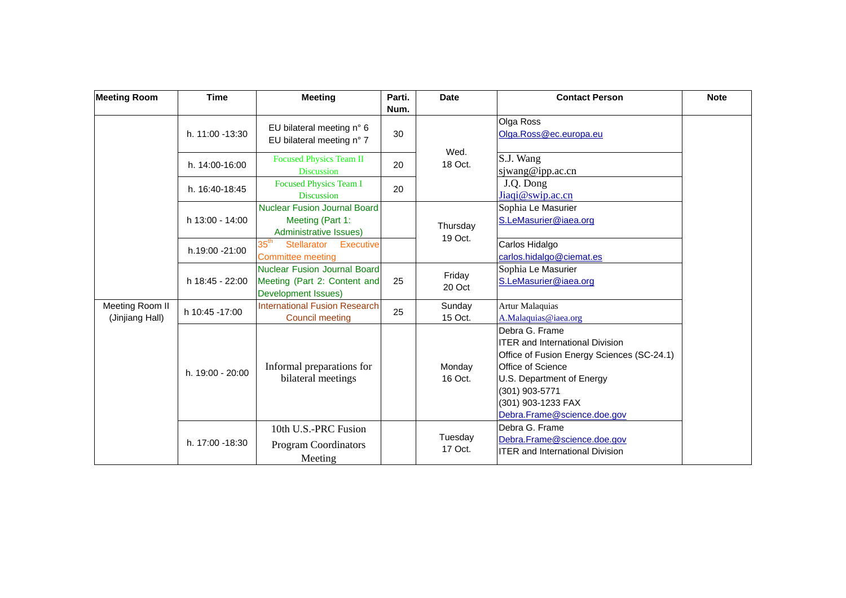| <b>Meeting Room</b>                | <b>Time</b>      | <b>Meeting</b>                                                                             | Parti.     | <b>Date</b>         | <b>Contact Person</b>                                                                                                                                                                                                           | <b>Note</b> |
|------------------------------------|------------------|--------------------------------------------------------------------------------------------|------------|---------------------|---------------------------------------------------------------------------------------------------------------------------------------------------------------------------------------------------------------------------------|-------------|
|                                    | h. 11:00 -13:30  | EU bilateral meeting n° 6<br>EU bilateral meeting n° 7                                     | Num.<br>30 |                     | Olga Ross<br>Olga.Ross@ec.europa.eu                                                                                                                                                                                             |             |
|                                    | h. 14:00-16:00   | <b>Focused Physics Team II</b><br><b>Discussion</b>                                        | 20         | Wed.<br>18 Oct.     | S.J. Wang<br>siwang@ipp.ac.cn                                                                                                                                                                                                   |             |
|                                    | h. 16:40-18:45   | <b>Focused Physics Team I</b><br><b>Discussion</b>                                         | 20         |                     | J.Q. Dong<br>Jiaqi@swip.ac.cn                                                                                                                                                                                                   |             |
|                                    | h 13:00 - 14:00  | <b>Nuclear Fusion Journal Board</b><br>Meeting (Part 1:<br>Administrative Issues)          |            | Thursday<br>19 Oct. | Sophia Le Masurier<br>S.LeMasurier@iaea.org                                                                                                                                                                                     |             |
|                                    | h.19:00 -21:00   | $35^{\sf th}$<br><b>Stellarator</b><br><b>Executive</b><br><b>Committee meeting</b>        |            |                     | Carlos Hidalgo<br>carlos.hidalgo@ciemat.es                                                                                                                                                                                      |             |
|                                    | h 18:45 - 22:00  | <b>Nuclear Fusion Journal Board</b><br>Meeting (Part 2: Content and<br>Development Issues) | 25         | Friday<br>20 Oct    | Sophia Le Masurier<br>S.LeMasurier@iaea.org                                                                                                                                                                                     |             |
| Meeting Room II<br>(Jinjiang Hall) | h 10:45 -17:00   | <b>International Fusion Research</b><br><b>Council meeting</b>                             | 25         | Sunday<br>15 Oct.   | Artur Malaquias<br>A.Malaquias@iaea.org                                                                                                                                                                                         |             |
|                                    | h. 19:00 - 20:00 | Informal preparations for<br>bilateral meetings                                            |            | Monday<br>16 Oct.   | Debra G. Frame<br><b>ITER and International Division</b><br>Office of Fusion Energy Sciences (SC-24.1)<br>Office of Science<br>U.S. Department of Energy<br>(301) 903-5771<br>(301) 903-1233 FAX<br>Debra.Frame@science.doe.gov |             |
|                                    | h. 17:00 -18:30  | 10th U.S.-PRC Fusion<br><b>Program Coordinators</b><br>Meeting                             |            | Tuesday<br>17 Oct.  | Debra G. Frame<br>Debra.Frame@science.doe.gov<br><b>ITER and International Division</b>                                                                                                                                         |             |